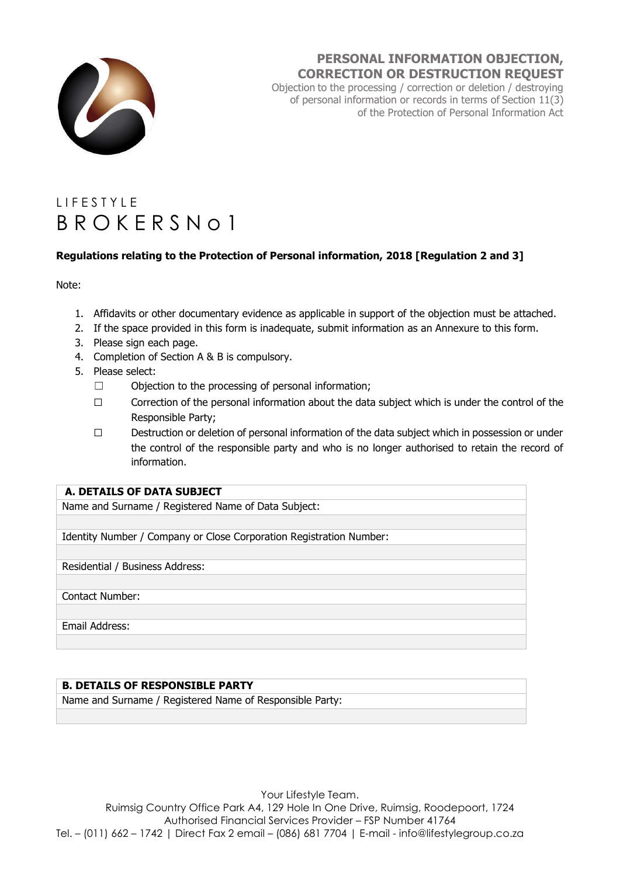

# **PERSONAL INFORMATION OBJECTION, CORRECTION OR DESTRUCTION REQUEST**

Objection to the processing / correction or deletion / destroying of personal information or records in terms of Section 11(3) of the Protection of Personal Information Act

# L I F F S T Y L F B R O K E R S N o 1

# **Regulations relating to the Protection of Personal information, 2018 [Regulation 2 and 3]**

Note:

- 1. Affidavits or other documentary evidence as applicable in support of the objection must be attached.
- 2. If the space provided in this form is inadequate, submit information as an Annexure to this form.
- 3. Please sign each page.
- 4. Completion of Section A & B is compulsory.
- 5. Please select:
	- ☐ Objection to the processing of personal information;
	- ☐ Correction of the personal information about the data subject which is under the control of the Responsible Party;
	- ☐ Destruction or deletion of personal information of the data subject which in possession or under the control of the responsible party and who is no longer authorised to retain the record of information.

## **A. DETAILS OF DATA SUBJECT**

Name and Surname / Registered Name of Data Subject:

Identity Number / Company or Close Corporation Registration Number:

Residential / Business Address:

Contact Number:

Email Address:

#### **B. DETAILS OF RESPONSIBLE PARTY**

Name and Surname / Registered Name of Responsible Party:

Your Lifestyle Team. Ruimsig Country Office Park A4, 129 Hole In One Drive, Ruimsig, Roodepoort, 1724 Authorised Financial Services Provider – FSP Number 41764 Tel. – (011) 662 – 1742 | Direct Fax 2 email – (086) 681 7704 | E-mail - info@lifestylegroup.co.za